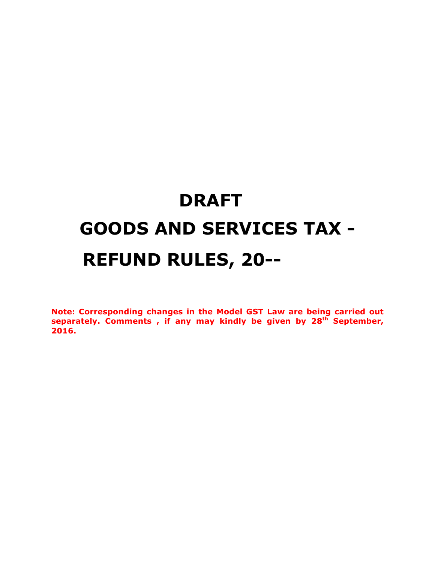# **DRAFT GOODS AND SERVICES TAX - REFUND RULES, 20--**

**Note: Corresponding changes in the Model GST Law are being carried out separately. Comments , if any may kindly be given by 28th September, 2016.**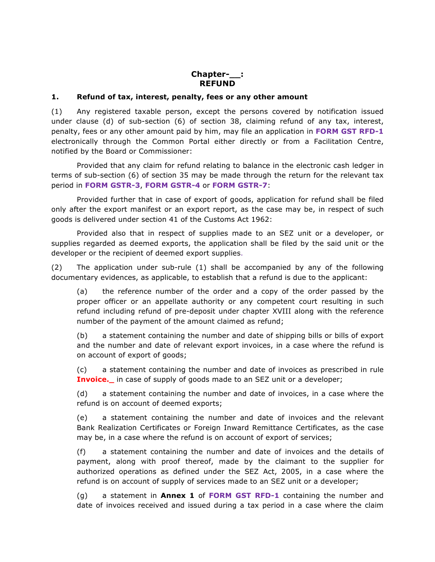#### **Chapter-\_\_: REFUND**

#### **1. Refund of tax, interest, penalty, fees or any other amount**

(1) Any registered taxable person, except the persons covered by notification issued under clause (d) of sub-section (6) of section 38, claiming refund of any tax, interest, penalty, fees or any other amount paid by him, may file an application in **FORM GST RFD-1** electronically through the Common Portal either directly or from a Facilitation Centre, notified by the Board or Commissioner:

Provided that any claim for refund relating to balance in the electronic cash ledger in terms of sub-section (6) of section 35 may be made through the return for the relevant tax period in **FORM GSTR-3**, **FORM GSTR-4** or **FORM GSTR-7**:

Provided further that in case of export of goods, application for refund shall be filed only after the export manifest or an export report, as the case may be, in respect of such goods is delivered under section 41 of the Customs Act 1962:

Provided also that in respect of supplies made to an SEZ unit or a developer, or supplies regarded as deemed exports, the application shall be filed by the said unit or the developer or the recipient of deemed export supplies.

(2) The application under sub-rule (1) shall be accompanied by any of the following documentary evidences, as applicable, to establish that a refund is due to the applicant:

(a) the reference number of the order and a copy of the order passed by the proper officer or an appellate authority or any competent court resulting in such refund including refund of pre-deposit under chapter XVIII along with the reference number of the payment of the amount claimed as refund;

(b) a statement containing the number and date of shipping bills or bills of export and the number and date of relevant export invoices, in a case where the refund is on account of export of goods;

(c) a statement containing the number and date of invoices as prescribed in rule **Invoice.** in case of supply of goods made to an SEZ unit or a developer;

(d) a statement containing the number and date of invoices, in a case where the refund is on account of deemed exports;

(e) a statement containing the number and date of invoices and the relevant Bank Realization Certificates or Foreign Inward Remittance Certificates, as the case may be, in a case where the refund is on account of export of services;

(f) a statement containing the number and date of invoices and the details of payment, along with proof thereof, made by the claimant to the supplier for authorized operations as defined under the SEZ Act, 2005, in a case where the refund is on account of supply of services made to an SEZ unit or a developer;

(g) a statement in **Annex 1** of **FORM GST RFD-1** containing the number and date of invoices received and issued during a tax period in a case where the claim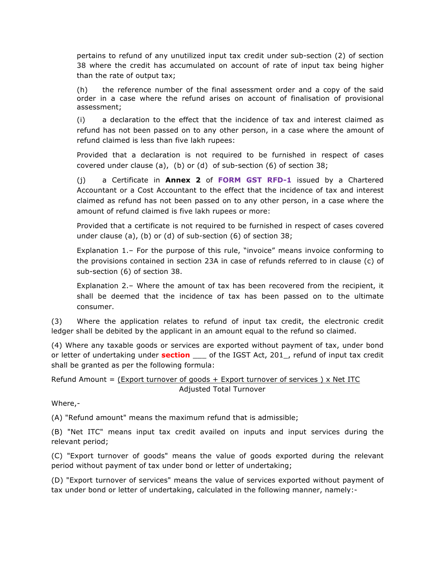pertains to refund of any unutilized input tax credit under sub-section (2) of section 38 where the credit has accumulated on account of rate of input tax being higher than the rate of output tax;

(h) the reference number of the final assessment order and a copy of the said order in a case where the refund arises on account of finalisation of provisional assessment;

(i) a declaration to the effect that the incidence of tax and interest claimed as refund has not been passed on to any other person, in a case where the amount of refund claimed is less than five lakh rupees:

Provided that a declaration is not required to be furnished in respect of cases covered under clause (a), (b) or (d) of sub-section (6) of section 38;

(j) a Certificate in **Annex 2** of **FORM GST RFD-1** issued by a Chartered Accountant or a Cost Accountant to the effect that the incidence of tax and interest claimed as refund has not been passed on to any other person, in a case where the amount of refund claimed is five lakh rupees or more:

Provided that a certificate is not required to be furnished in respect of cases covered under clause (a), (b) or (d) of sub-section (6) of section 38;

Explanation 1.– For the purpose of this rule, "invoice" means invoice conforming to the provisions contained in section 23A in case of refunds referred to in clause (c) of sub-section (6) of section 38.

Explanation 2.– Where the amount of tax has been recovered from the recipient, it shall be deemed that the incidence of tax has been passed on to the ultimate consumer.

(3) Where the application relates to refund of input tax credit, the electronic credit ledger shall be debited by the applicant in an amount equal to the refund so claimed.

(4) Where any taxable goods or services are exported without payment of tax, under bond or letter of undertaking under **section** \_\_\_ of the IGST Act, 201\_, refund of input tax credit shall be granted as per the following formula:

#### Refund Amount = (Export turnover of goods + Export turnover of services) x Net ITC Adjusted Total Turnover

Where,-

(A) "Refund amount" means the maximum refund that is admissible;

(B) "Net ITC" means input tax credit availed on inputs and input services during the relevant period;

(C) "Export turnover of goods" means the value of goods exported during the relevant period without payment of tax under bond or letter of undertaking;

(D) "Export turnover of services" means the value of services exported without payment of tax under bond or letter of undertaking, calculated in the following manner, namely:-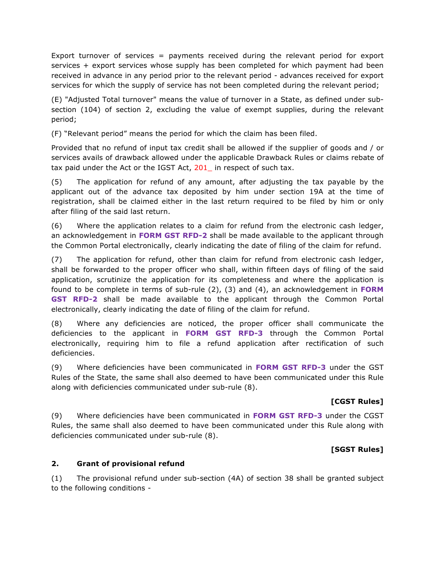Export turnover of services = payments received during the relevant period for export services + export services whose supply has been completed for which payment had been received in advance in any period prior to the relevant period - advances received for export services for which the supply of service has not been completed during the relevant period;

(E) "Adjusted Total turnover" means the value of turnover in a State, as defined under subsection (104) of section 2, excluding the value of exempt supplies, during the relevant period;

(F) "Relevant period" means the period for which the claim has been filed.

Provided that no refund of input tax credit shall be allowed if the supplier of goods and / or services avails of drawback allowed under the applicable Drawback Rules or claims rebate of tax paid under the Act or the IGST Act, 201\_ in respect of such tax.

(5) The application for refund of any amount, after adjusting the tax payable by the applicant out of the advance tax deposited by him under section 19A at the time of registration, shall be claimed either in the last return required to be filed by him or only after filing of the said last return.

(6) Where the application relates to a claim for refund from the electronic cash ledger, an acknowledgement in **FORM GST RFD-2** shall be made available to the applicant through the Common Portal electronically, clearly indicating the date of filing of the claim for refund.

(7) The application for refund, other than claim for refund from electronic cash ledger, shall be forwarded to the proper officer who shall, within fifteen days of filing of the said application, scrutinize the application for its completeness and where the application is found to be complete in terms of sub-rule (2), (3) and (4), an acknowledgement in **FORM GST RFD-2** shall be made available to the applicant through the Common Portal electronically, clearly indicating the date of filing of the claim for refund.

(8) Where any deficiencies are noticed, the proper officer shall communicate the deficiencies to the applicant in **FORM GST RFD-3** through the Common Portal electronically, requiring him to file a refund application after rectification of such deficiencies.

(9) Where deficiencies have been communicated in **FORM GST RFD-3** under the GST Rules of the State, the same shall also deemed to have been communicated under this Rule along with deficiencies communicated under sub-rule (8).

## **[CGST Rules]**

(9) Where deficiencies have been communicated in **FORM GST RFD-3** under the CGST Rules, the same shall also deemed to have been communicated under this Rule along with deficiencies communicated under sub-rule (8).

## **[SGST Rules]**

#### **2. Grant of provisional refund**

(1) The provisional refund under sub-section (4A) of section 38 shall be granted subject to the following conditions -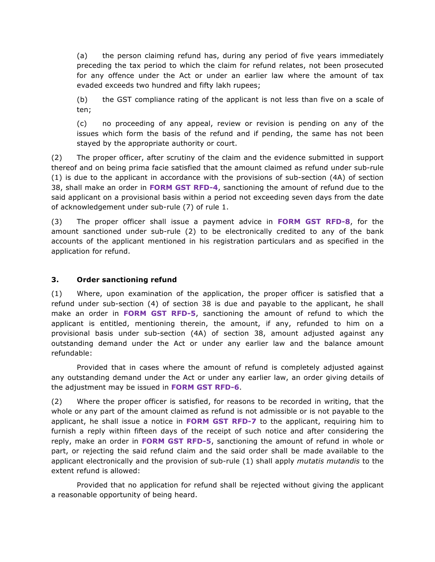(a) the person claiming refund has, during any period of five years immediately preceding the tax period to which the claim for refund relates, not been prosecuted for any offence under the Act or under an earlier law where the amount of tax evaded exceeds two hundred and fifty lakh rupees;

(b) the GST compliance rating of the applicant is not less than five on a scale of ten;

(c) no proceeding of any appeal, review or revision is pending on any of the issues which form the basis of the refund and if pending, the same has not been stayed by the appropriate authority or court.

(2) The proper officer, after scrutiny of the claim and the evidence submitted in support thereof and on being prima facie satisfied that the amount claimed as refund under sub-rule (1) is due to the applicant in accordance with the provisions of sub-section (4A) of section 38, shall make an order in **FORM GST RFD-4**, sanctioning the amount of refund due to the said applicant on a provisional basis within a period not exceeding seven days from the date of acknowledgement under sub-rule (7) of rule 1.

(3) The proper officer shall issue a payment advice in **FORM GST RFD-8**, for the amount sanctioned under sub-rule (2) to be electronically credited to any of the bank accounts of the applicant mentioned in his registration particulars and as specified in the application for refund.

#### **3. Order sanctioning refund**

(1) Where, upon examination of the application, the proper officer is satisfied that a refund under sub-section (4) of section 38 is due and payable to the applicant, he shall make an order in **FORM GST RFD-5**, sanctioning the amount of refund to which the applicant is entitled, mentioning therein, the amount, if any, refunded to him on a provisional basis under sub-section (4A) of section 38, amount adjusted against any outstanding demand under the Act or under any earlier law and the balance amount refundable:

Provided that in cases where the amount of refund is completely adjusted against any outstanding demand under the Act or under any earlier law, an order giving details of the adjustment may be issued in **FORM GST RFD-6**.

(2) Where the proper officer is satisfied, for reasons to be recorded in writing, that the whole or any part of the amount claimed as refund is not admissible or is not payable to the applicant, he shall issue a notice in **FORM GST RFD-7** to the applicant, requiring him to furnish a reply within fifteen days of the receipt of such notice and after considering the reply, make an order in **FORM GST RFD-5**, sanctioning the amount of refund in whole or part, or rejecting the said refund claim and the said order shall be made available to the applicant electronically and the provision of sub-rule (1) shall apply *mutatis mutandis* to the extent refund is allowed:

Provided that no application for refund shall be rejected without giving the applicant a reasonable opportunity of being heard.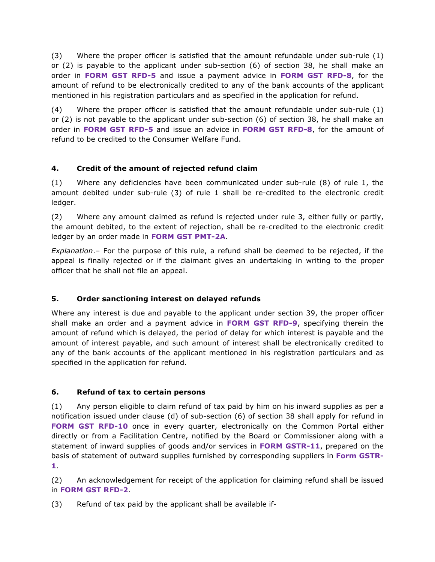(3) Where the proper officer is satisfied that the amount refundable under sub-rule (1) or (2) is payable to the applicant under sub-section (6) of section 38, he shall make an order in **FORM GST RFD-5** and issue a payment advice in **FORM GST RFD-8**, for the amount of refund to be electronically credited to any of the bank accounts of the applicant mentioned in his registration particulars and as specified in the application for refund.

(4) Where the proper officer is satisfied that the amount refundable under sub-rule (1) or (2) is not payable to the applicant under sub-section (6) of section 38, he shall make an order in **FORM GST RFD-5** and issue an advice in **FORM GST RFD-8**, for the amount of refund to be credited to the Consumer Welfare Fund.

## **4. Credit of the amount of rejected refund claim**

(1) Where any deficiencies have been communicated under sub-rule (8) of rule 1, the amount debited under sub-rule (3) of rule 1 shall be re-credited to the electronic credit ledger.

(2) Where any amount claimed as refund is rejected under rule 3, either fully or partly, the amount debited, to the extent of rejection, shall be re-credited to the electronic credit ledger by an order made in **FORM GST PMT-2A**.

*Explanation*.– For the purpose of this rule, a refund shall be deemed to be rejected, if the appeal is finally rejected or if the claimant gives an undertaking in writing to the proper officer that he shall not file an appeal.

# **5. Order sanctioning interest on delayed refunds**

Where any interest is due and payable to the applicant under section 39, the proper officer shall make an order and a payment advice in **FORM GST RFD-9**, specifying therein the amount of refund which is delayed, the period of delay for which interest is payable and the amount of interest payable, and such amount of interest shall be electronically credited to any of the bank accounts of the applicant mentioned in his registration particulars and as specified in the application for refund.

# **6. Refund of tax to certain persons**

(1) Any person eligible to claim refund of tax paid by him on his inward supplies as per a notification issued under clause (d) of sub-section (6) of section 38 shall apply for refund in **FORM GST RFD-10** once in every quarter, electronically on the Common Portal either directly or from a Facilitation Centre, notified by the Board or Commissioner along with a statement of inward supplies of goods and/or services in **FORM GSTR-11**, prepared on the basis of statement of outward supplies furnished by corresponding suppliers in **Form GSTR-1**.

(2) An acknowledgement for receipt of the application for claiming refund shall be issued in **FORM GST RFD-2**.

(3) Refund of tax paid by the applicant shall be available if-